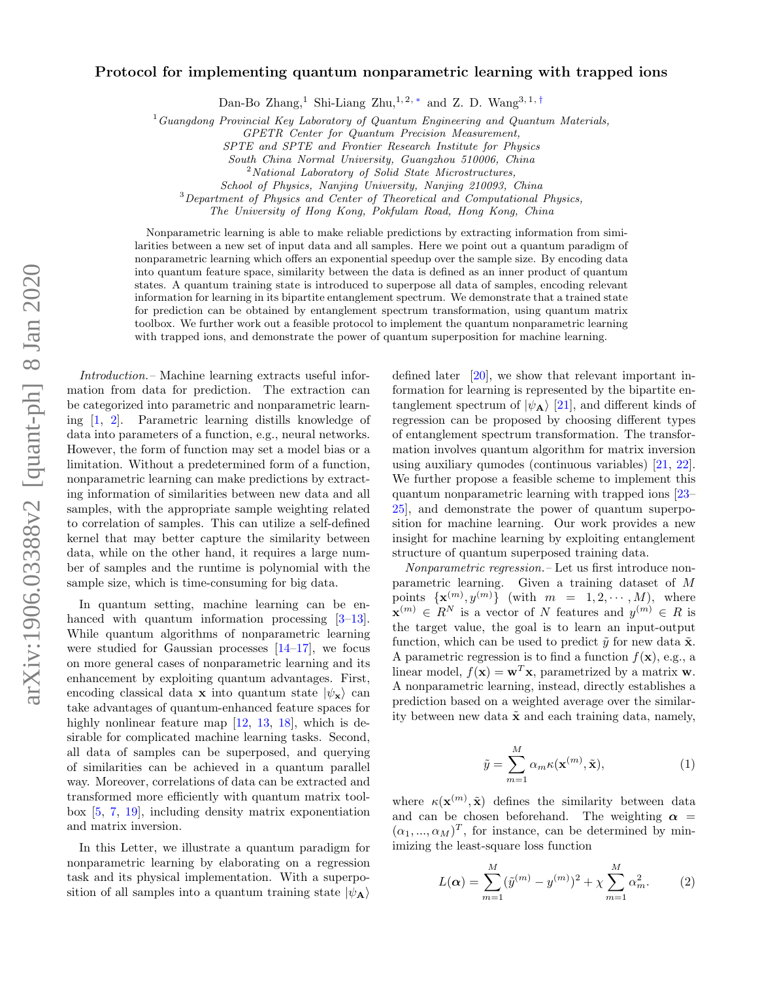## Protocol for implementing quantum nonparametric learning with trapped ions

Dan-Bo Zhang,<sup>1</sup> Shi-Liang Zhu,<sup>1,2,\*</sup> and Z. D. Wang<sup>3,1,[†](#page-4-1)</sup>

 $1_G$ Uangdong Provincial Key Laboratory of Quantum Engineering and Quantum Materials,

SPTE and SPTE and Frontier Research Institute for Physics

South China Normal University, Guangzhou 510006, China

<sup>2</sup>National Laboratory of Solid State Microstructures,

School of Physics, Nanjing University, Nanjing 210093, China

 $3$ Department of Physics and Center of Theoretical and Computational Physics,

The University of Hong Kong, Pokfulam Road, Hong Kong, China

Nonparametric learning is able to make reliable predictions by extracting information from similarities between a new set of input data and all samples. Here we point out a quantum paradigm of nonparametric learning which offers an exponential speedup over the sample size. By encoding data into quantum feature space, similarity between the data is defined as an inner product of quantum states. A quantum training state is introduced to superpose all data of samples, encoding relevant information for learning in its bipartite entanglement spectrum. We demonstrate that a trained state for prediction can be obtained by entanglement spectrum transformation, using quantum matrix toolbox. We further work out a feasible protocol to implement the quantum nonparametric learning with trapped ions, and demonstrate the power of quantum superposition for machine learning.

Introduction.– Machine learning extracts useful information from data for prediction. The extraction can be categorized into parametric and nonparametric learning [\[1,](#page-4-2) [2\]](#page-4-3). Parametric learning distills knowledge of data into parameters of a function, e.g., neural networks. However, the form of function may set a model bias or a limitation. Without a predetermined form of a function, nonparametric learning can make predictions by extracting information of similarities between new data and all samples, with the appropriate sample weighting related to correlation of samples. This can utilize a self-defined kernel that may better capture the similarity between data, while on the other hand, it requires a large number of samples and the runtime is polynomial with the sample size, which is time-consuming for big data.

In quantum setting, machine learning can be en-hanced with quantum information processing [\[3–](#page-4-4)[13\]](#page-4-5). While quantum algorithms of nonparametric learning were studied for Gaussian processes  $[14-17]$  $[14-17]$ , we focus on more general cases of nonparametric learning and its enhancement by exploiting quantum advantages. First, encoding classical data x into quantum state  $|\psi_{\mathbf{x}}\rangle$  can take advantages of quantum-enhanced feature spaces for highly nonlinear feature map [\[12,](#page-4-8) [13,](#page-4-5) [18\]](#page-4-9), which is desirable for complicated machine learning tasks. Second, all data of samples can be superposed, and querying of similarities can be achieved in a quantum parallel way. Moreover, correlations of data can be extracted and transformed more efficiently with quantum matrix toolbox [\[5,](#page-4-10) [7,](#page-4-11) [19\]](#page-4-12), including density matrix exponentiation and matrix inversion.

In this Letter, we illustrate a quantum paradigm for nonparametric learning by elaborating on a regression task and its physical implementation. With a superposition of all samples into a quantum training state  $|\psi_{\mathbf{A}}\rangle$ 

defined later [\[20\]](#page-5-0), we show that relevant important information for learning is represented by the bipartite entanglement spectrum of  $|\psi_{\mathbf{A}}\rangle$  [\[21\]](#page-5-1), and different kinds of regression can be proposed by choosing different types of entanglement spectrum transformation. The transformation involves quantum algorithm for matrix inversion using auxiliary qumodes (continuous variables) [\[21,](#page-5-1) [22\]](#page-5-2). We further propose a feasible scheme to implement this quantum nonparametric learning with trapped ions [\[23–](#page-5-3) [25\]](#page-5-4), and demonstrate the power of quantum superposition for machine learning. Our work provides a new insight for machine learning by exploiting entanglement structure of quantum superposed training data.

Nonparametric regression.– Let us first introduce nonparametric learning. Given a training dataset of M points  $\{ \mathbf{x}^{(m)}, y^{(m)} \}$  (with  $m = 1, 2, \cdots, M$ ), where  $\mathbf{x}^{(m)} \in R^N$  is a vector of N features and  $y^{(m)} \in R$  is the target value, the goal is to learn an input-output function, which can be used to predict  $\tilde{\mathbf{y}}$  for new data  $\tilde{\mathbf{x}}$ . A parametric regression is to find a function  $f(\mathbf{x})$ , e.g., a linear model,  $f(\mathbf{x}) = \mathbf{w}^T \mathbf{x}$ , parametrized by a matrix **w**. A nonparametric learning, instead, directly establishes a prediction based on a weighted average over the similarity between new data  $\tilde{\mathbf{x}}$  and each training data, namely,

<span id="page-0-1"></span>
$$
\tilde{y} = \sum_{m=1}^{M} \alpha_m \kappa(\mathbf{x}^{(m)}, \tilde{\mathbf{x}}),
$$
\n(1)

<span id="page-0-0"></span>where  $\kappa(\mathbf{x}^{(m)}, \tilde{\mathbf{x}})$  defines the similarity between data and can be chosen beforehand. The weighting  $\alpha$  =  $(\alpha_1, ..., \alpha_M)^T$ , for instance, can be determined by minimizing the least-square loss function

$$
L(\alpha) = \sum_{m=1}^{M} (\tilde{y}^{(m)} - y^{(m)})^2 + \chi \sum_{m=1}^{M} \alpha_m^2.
$$
 (2)

GPETR Center for Quantum Precision Measurement,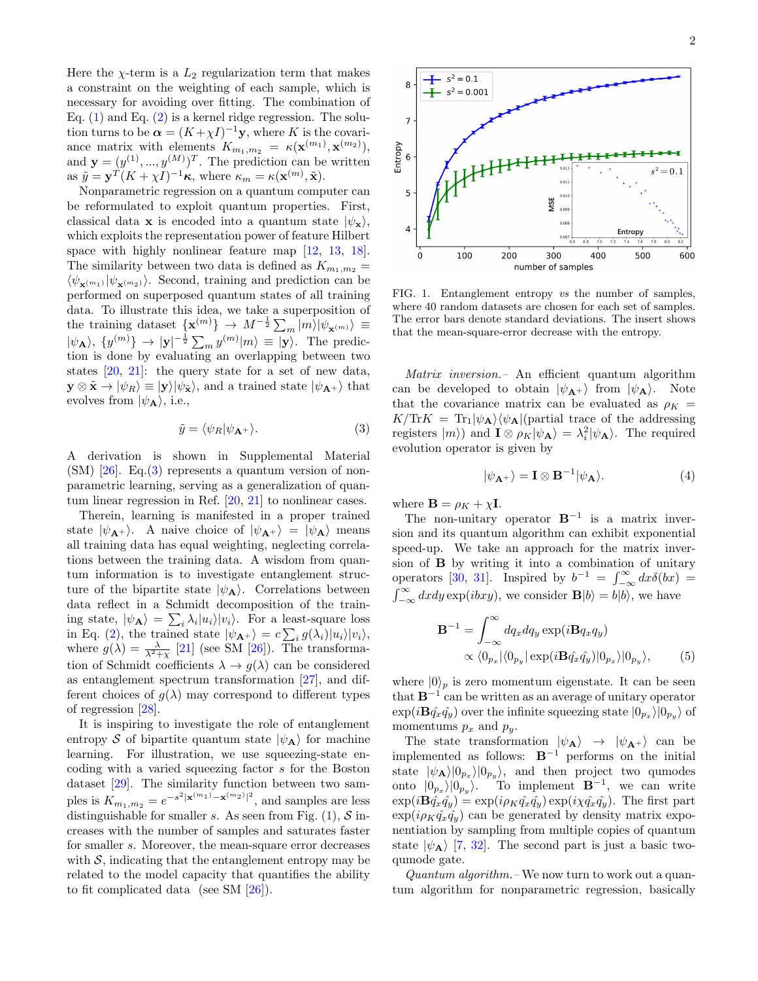Here the  $\chi$ -term is a  $L_2$  regularization term that makes a constraint on the weighting of each sample, which is necessary for avoiding over fitting. The combination of Eq.  $(1)$  and Eq.  $(2)$  is a kernel ridge regression. The solution turns to be  $\boldsymbol{\alpha} = (K + \chi I)^{-1} \mathbf{y}$ , where K is the covariance matrix with elements  $K_{m_1,m_2} = \kappa(\mathbf{x}^{(m_1)}, \mathbf{x}^{(m_2)}),$ and  $\mathbf{y} = (y^{(1)}, ..., y^{(M)})^T$ . The prediction can be written as  $\tilde{y} = \mathbf{y}^T (K + \chi I)^{-1} \kappa$ , where  $\kappa_m = \kappa(\mathbf{x}^{(m)}, \tilde{\mathbf{x}})$ .

Nonparametric regression on a quantum computer can be reformulated to exploit quantum properties. First, classical data **x** is encoded into a quantum state  $|\psi_{\mathbf{x}}\rangle$ , which exploits the representation power of feature Hilbert space with highly nonlinear feature map  $[12, 13, 18]$  $[12, 13, 18]$  $[12, 13, 18]$  $[12, 13, 18]$  $[12, 13, 18]$ . The similarity between two data is defined as  $K_{m_1,m_2}$  =  $\langle \psi_{\mathbf{x}^{(m_1)}} | \psi_{\mathbf{x}^{(m_2)}} \rangle$ . Second, training and prediction can be performed on superposed quantum states of all training data. To illustrate this idea, we take a superposition of the training dataset  $\{ {\bf x}^{(m)} \} \rightarrow M^{-\frac{1}{2}} \sum_{m} |m\rangle |\psi_{\bf x^{(m)}}\rangle \equiv$  $|\psi_{\mathbf{A}}\rangle, \{y^{(m)}\} \to |\mathbf{y}|^{-\frac{1}{2}} \sum_{m} y^{(m)}|m\rangle \equiv |\mathbf{y}\rangle.$  The prediction is done by evaluating an overlapping between two states [\[20,](#page-5-0) [21\]](#page-5-1): the query state for a set of new data,  $\mathbf{y} \otimes \tilde{\mathbf{x}} \rightarrow |\psi_R\rangle \equiv |\mathbf{y}\rangle |\psi_{\tilde{\mathbf{x}}}\rangle$ , and a trained state  $|\psi_{\mathbf{A}^+}\rangle$  that evolves from  $|\psi_{\bf A}\rangle$ , i.e.,

<span id="page-1-0"></span>
$$
\tilde{y} = \langle \psi_R | \psi_{\mathbf{A}^+} \rangle. \tag{3}
$$

A derivation is shown in Supplemental Material  $(SM)$  [\[26\]](#page-5-5). Eq.[\(3\)](#page-1-0) represents a quantum version of nonparametric learning, serving as a generalization of quantum linear regression in Ref. [\[20,](#page-5-0) [21\]](#page-5-1) to nonlinear cases.

Therein, learning is manifested in a proper trained state  $|\psi_{A+}\rangle$ . A naive choice of  $|\psi_{A+}\rangle = |\psi_{A}\rangle$  means all training data has equal weighting, neglecting correlations between the training data. A wisdom from quantum information is to investigate entanglement structure of the bipartite state  $|\psi_{\bf A}\rangle$ . Correlations between data reflect in a Schmidt decomposition of the training state,  $|\psi_{\mathbf{A}}\rangle = \sum_{i} \lambda_i |u_i\rangle |v_i\rangle$ . For a least-square loss in Eq. [\(2\)](#page-0-1), the trained state  $|\psi_{\mathbf{A}^+}\rangle = c \sum_i g(\lambda_i)|u_i\rangle|v_i\rangle$ , where  $g(\lambda) = \frac{\lambda}{\lambda^2 + \chi}$  [\[21\]](#page-5-1) (see SM [\[26\]](#page-5-5)). The transformation of Schmidt coefficients  $\lambda \to g(\lambda)$  can be considered as entanglement spectrum transformation [\[27\]](#page-5-6), and different choices of  $g(\lambda)$  may correspond to different types of regression [\[28\]](#page-5-7).

It is inspiring to investigate the role of entanglement entropy S of bipartite quantum state  $|\psi_{A}\rangle$  for machine learning. For illustration, we use squeezing-state encoding with a varied squeezing factor s for the Boston dataset [\[29\]](#page-5-8). The similarity function between two samples is  $K_{m_1, m_2} = e^{-s^2 |\mathbf{x}^{(m_1)} - \mathbf{x}^{(m_2)}|^2}$ , and samples are less distinguishable for smaller s. As seen from Fig.  $(1)$ , S increases with the number of samples and saturates faster for smaller s. Moreover, the mean-square error decreases with  $S$ , indicating that the entanglement entropy may be related to the model capacity that quantifies the ability to fit complicated data (see SM [\[26\]](#page-5-5)).



100 200 300 400 500 600 number of samples FIG. 1. Entanglement entropy vs the number of samples, where 40 random datasets are chosen for each set of samples.

 $0.00$ 

<span id="page-1-1"></span>The error bars denote standard deviations. The insert shows that the mean-square-error decrease with the entropy.

Matrix inversion.– An efficient quantum algorithm can be developed to obtain  $|\psi_{A+}\rangle$  from  $|\psi_{A}\rangle$ . Note that the covariance matrix can be evaluated as  $\rho_K$  =  $K/\text{Tr}K = \text{Tr}_{1}|\psi_{\mathbf{A}}\rangle\langle\psi_{\mathbf{A}}|$ (partial trace of the addressing registers  $|m\rangle$  and  $\mathbf{I} \otimes \rho_K |\psi_A\rangle = \lambda_i^2 |\psi_A\rangle$ . The required evolution operator is given by

$$
|\psi_{\mathbf{A}^+}\rangle = \mathbf{I} \otimes \mathbf{B}^{-1}|\psi_{\mathbf{A}}\rangle.
$$
 (4)

where  $\mathbf{B} = \rho_K + \chi \mathbf{I}$ .

8

 $\overline{7}$ 

5

 $\overline{a}$ 

Entropy 6

The non-unitary operator  $B^{-1}$  is a matrix inversion and its quantum algorithm can exhibit exponential speed-up. We take an approach for the matrix inversion of B by writing it into a combination of unitary operators [\[30,](#page-5-9) [31\]](#page-5-10). Inspired by  $b^{-1} = \int_{-\infty}^{\infty} dx \delta(bx) =$  $\int_{-\infty}^{\infty} dx dy \exp(i b x y)$ , we consider  $\mathbf{B}|b\rangle = b|b\rangle$ , we have

$$
\mathbf{B}^{-1} = \int_{-\infty}^{\infty} dq_x dq_y \exp(i\mathbf{B}q_x q_y)
$$
  
 
$$
\propto \langle 0_{p_x} | \langle 0_{p_y} | \exp(i\mathbf{B}q_x q_y) | 0_{p_x} \rangle | 0_{p_y} \rangle, \tag{5}
$$

where  $|0\rangle_n$  is zero momentum eigenstate. It can be seen that  $B^{-1}$  can be written as an average of unitary operator  $\exp(i\mathbf{B}\hat{q_x}\hat{q_y})$  over the infinite squeezing state  $|0_{p_x}\rangle|0_{p_y}\rangle$  of momentums  $p_x$  and  $p_y$ .

The state transformation  $|\psi_{A}\rangle \rightarrow |\psi_{A^{+}}\rangle$  can be implemented as follows:  $B^{-1}$  performs on the initial state  $|\psi_{\mathbf{A}}\rangle|0_{p_x}\rangle|0_{p_y}\rangle$ , and then project two qumodes onto  $|0_{p_x}\rangle|0_{p_y}\rangle$ . To implement  $\mathbf{B}^{-1}$ , we can write  $\exp(i\mathbf{B}\hat{q_x}\hat{q_y}) = \exp(i\rho_K\hat{q_x}\hat{q_y})\exp(i\chi\hat{q_x}\hat{q_y})$ . The first part  $\exp(i\rho_K\hat{q}_x\hat{q}_y)$  can be generated by density matrix exponentiation by sampling from multiple copies of quantum state  $|\psi_{\bf A}\rangle$  [\[7,](#page-4-11) [32\]](#page-5-11). The second part is just a basic twoqumode gate.

Quantum algorithm.– We now turn to work out a quantum algorithm for nonparametric regression, basically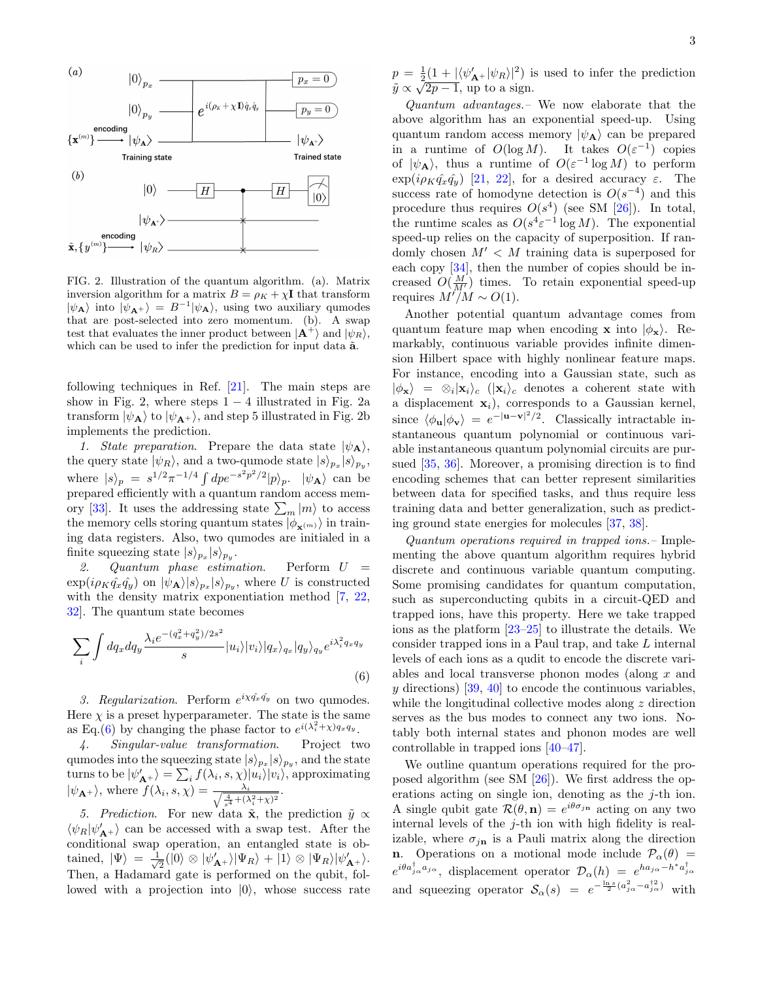

FIG. 2. Illustration of the quantum algorithm. (a). Matrix inversion algorithm for a matrix  $B = \rho_K + \chi I$  that transform  $|\psi_{\bf A}\rangle$  into  $|\bar{\psi}_{\bf A^+}\rangle = B^{-1}|\psi_{\bf A}\rangle$ , using two auxiliary qumodes that are post-selected into zero momentum. (b). A swap test that evaluates the inner product between  $|\mathbf{A}^+\rangle$  and  $|\psi_R\rangle$ , which can be used to infer the prediction for input data  $\tilde{a}$ .

following techniques in Ref. [\[21\]](#page-5-1). The main steps are show in Fig. 2, where steps  $1 - 4$  illustrated in Fig. 2a transform  $|\psi_{\mathbf{A}}\rangle$  to  $|\psi_{\mathbf{A}}\rangle$ , and step 5 illustrated in Fig. 2b implements the prediction.

1. State preparation. Prepare the data state  $|\psi_{\bf A}\rangle$ , the query state  $|\psi_R\rangle$ , and a two-qumode state  $|s\rangle_{p_x}|s\rangle_{p_y}$ , where  $|s\rangle_p = s^{1/2}\pi^{-1/4} \int dp e^{-s^2p^2/2} |p\rangle_p$ .  $|\psi_A\rangle$  can be prepared efficiently with a quantum random access mem-ory [\[33\]](#page-5-12). It uses the addressing state  $\sum_m |m\rangle$  to access the memory cells storing quantum states  $|\phi_{\mathbf{x}^{(m)}}\rangle$  in training data registers. Also, two qumodes are initialed in a finite squeezing state  $|s\rangle_{p_x}|s\rangle_{p_y}$ .

2. Quantum phase estimation. Perform  $U =$  $\exp(i\rho_K \hat{q}_x \hat{q}_y)$  on  $|\psi_A\rangle|s\rangle_{p_x}|s\rangle_{p_y}$ , where U is constructed with the density matrix exponentiation method [\[7,](#page-4-11) [22,](#page-5-2) [32\]](#page-5-11). The quantum state becomes

<span id="page-2-0"></span>
$$
\sum_{i} \int dq_x dq_y \frac{\lambda_i e^{-(q_x^2 + q_y^2)/2s^2}}{s} |u_i\rangle |v_i\rangle |q_x\rangle_{q_x} |q_y\rangle_{q_y} e^{i\lambda_i^2 q_x q_y}
$$
\n
$$
(6)
$$

3. Regularization. Perform  $e^{i\chi q_x q_y}$  on two qumodes. Here  $\chi$  is a preset hyperparameter. The state is the same as Eq.[\(6\)](#page-2-0) by changing the phase factor to  $e^{i(\lambda_i^2 + \chi)q_x q_y}$ .

4. Singular-value transformation. Project two qumodes into the squeezing state  $|s\rangle_{p_x}|s\rangle_{p_y}$ , and the state turns to be  $|\psi'_\mathbf{A+}\rangle = \sum_i f(\lambda_i, s, \chi) |u_i\rangle|v_i\rangle$ , approximating  $|\psi_{\mathbf{A}^+}\rangle$ , where  $f(\lambda_i, s, \chi) = \frac{\lambda_i}{\sqrt{\frac{4}{s^4} + (\lambda_i^2 + \chi)^2}}$ .

5. Prediction. For new data  $\tilde{\mathbf{x}}$ , the prediction  $\tilde{y} \propto$  $\langle \psi_{R} | \psi'_{\mathbf{A}^+} \rangle$  can be accessed with a swap test. After the conditional swap operation, an entangled state is obtained,  $|\Psi\rangle = \frac{1}{\sqrt{2}}$  $\frac{1}{2}(|0\rangle \otimes |\psi'_{\mathbf{A}^+}\rangle |\Psi_R\rangle + |1\rangle \otimes |\Psi_R\rangle |\psi'_{\mathbf{A}^+}\rangle.$ Then, a Hadamard gate is performed on the qubit, followed with a projection into  $|0\rangle$ , whose success rate  $p = \frac{1}{2}(1 + |\langle \psi_{\mathbf{A}}^{\prime} | \psi_R \rangle|^2)$  is used to infer the prediction  $\tilde{y} = \frac{1}{2}(1 + |\langle \varphi_{\mathbf{A}} | \varphi_R \rangle|)^{-1}$ <br> $\tilde{y} \propto \sqrt{2p-1}$ , up to a sign.

Quantum advantages.– We now elaborate that the above algorithm has an exponential speed-up. Using quantum random access memory  $|\psi_{\bf A}\rangle$  can be prepared in a runtime of  $O(\log M)$ . It takes  $O(\varepsilon^{-1})$  copies of  $|\psi_{\bf A}\rangle$ , thus a runtime of  $O(\varepsilon^{-1} \log M)$  to perform  $\exp(i\rho_K\hat{q}_x\hat{q}_y)$  [\[21,](#page-5-1) [22\]](#page-5-2), for a desired accuracy  $\varepsilon$ . The success rate of homodyne detection is  $O(s^{-4})$  and this procedure thus requires  $O(s^4)$  (see SM [\[26\]](#page-5-5)). In total, the runtime scales as  $O(s^4 \varepsilon^{-1} \log M)$ . The exponential speed-up relies on the capacity of superposition. If randomly chosen  $M' < M$  training data is superposed for each copy [\[34\]](#page-5-13), then the number of copies should be increased  $O(\frac{M}{M'})$  times. To retain exponential speed-up requires  $M^{\prime\prime}/M \sim O(1)$ .

Another potential quantum advantage comes from quantum feature map when encoding **x** into  $|\phi_{\mathbf{x}}\rangle$ . Remarkably, continuous variable provides infinite dimension Hilbert space with highly nonlinear feature maps. For instance, encoding into a Gaussian state, such as  $|\phi_{\mathbf{x}}\rangle = \otimes_i |\mathbf{x}_i\rangle_c$  ( $|\mathbf{x}_i\rangle_c$  denotes a coherent state with a displacement  $\mathbf{x}_i$ ), corresponds to a Gaussian kernel, since  $\langle \phi_{\mathbf{u}} | \phi_{\mathbf{v}} \rangle = e^{-|\mathbf{u}-\mathbf{v}|^2/2}$ . Classically intractable instantaneous quantum polynomial or continuous variable instantaneous quantum polynomial circuits are pursued [\[35,](#page-5-14) [36\]](#page-5-15). Moreover, a promising direction is to find encoding schemes that can better represent similarities between data for specified tasks, and thus require less training data and better generalization, such as predicting ground state energies for molecules [\[37,](#page-5-16) [38\]](#page-5-17).

Quantum operations required in trapped ions.– Implementing the above quantum algorithm requires hybrid discrete and continuous variable quantum computing. Some promising candidates for quantum computation, such as superconducting qubits in a circuit-QED and trapped ions, have this property. Here we take trapped ions as the platform [\[23](#page-5-3)[–25\]](#page-5-4) to illustrate the details. We consider trapped ions in a Paul trap, and take L internal levels of each ions as a qudit to encode the discrete variables and local transverse phonon modes (along x and  $y$  directions) [\[39,](#page-5-18) [40\]](#page-5-19) to encode the continuous variables, while the longitudinal collective modes along z direction serves as the bus modes to connect any two ions. Notably both internal states and phonon modes are well controllable in trapped ions [\[40](#page-5-19)[–47\]](#page-5-20).

We outline quantum operations required for the proposed algorithm (see SM [\[26\]](#page-5-5)). We first address the operations acting on single ion, denoting as the j-th ion. A single qubit gate  $\mathcal{R}(\theta, \mathbf{n}) = e^{i\theta \sigma_{j\mathbf{n}}}$  acting on any two internal levels of the  $j$ -th ion with high fidelity is realizable, where  $\sigma_{i\mathbf{n}}$  is a Pauli matrix along the direction **n.** Operations on a motional mode include  $\mathcal{P}_{\alpha}(\theta)$  =  $e^{i\theta a_{j_\alpha}^\dagger a_{j_\alpha}}$ , displacement operator  $\mathcal{D}_\alpha(h) = e^{h a_{j_\alpha} - h^* a_{j_\alpha}^\dagger}$ and squeezing operator  $S_{\alpha}(s) = e^{-\frac{\ln s}{2}(a_{j\alpha}^2 - a_{j\alpha}^{\dagger 2})}$  with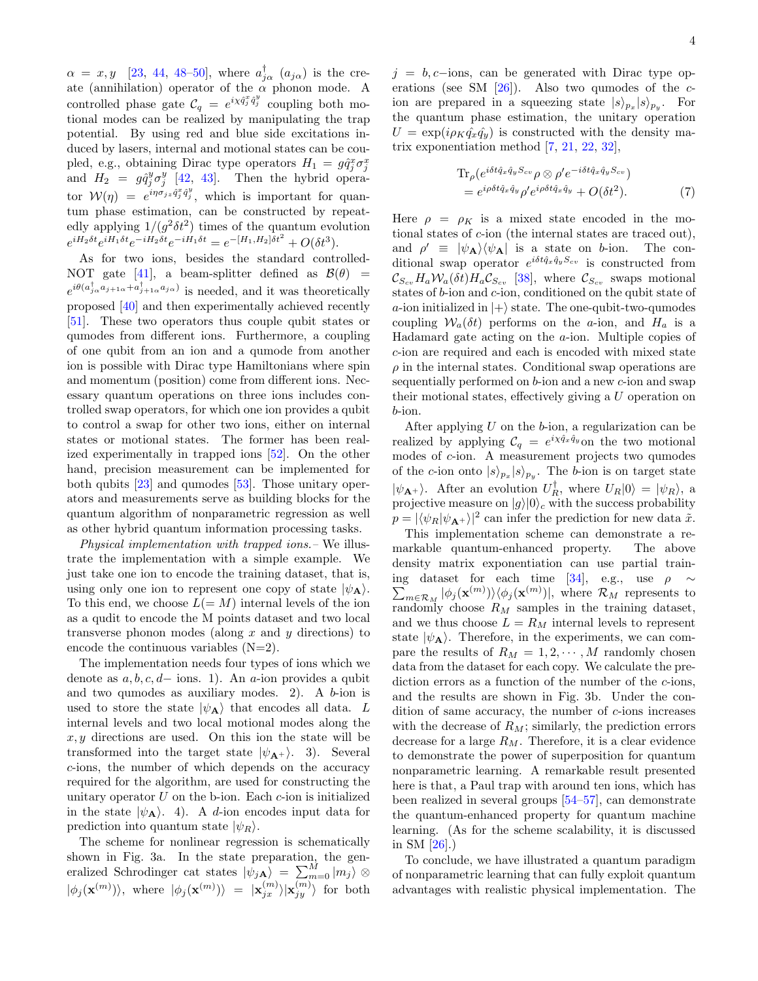$\alpha = x, y$  [\[23,](#page-5-3) [44,](#page-5-21) 48-[50\]](#page-5-23), where  $a_{j\alpha}^{\dagger}$  ( $a_{j\alpha}$ ) is the create (annihilation) operator of the  $\alpha$  phonon mode. A controlled phase gate  $\mathcal{C}_q = e^{i\chi \hat{q}_j^x \hat{q}_j^y}$  coupling both motional modes can be realized by manipulating the trap potential. By using red and blue side excitations induced by lasers, internal and motional states can be coupled, e.g., obtaining Dirac type operators  $H_1 = g\hat{q}_j^x \sigma_j^x$ and  $H_2 = g\hat{q}_j^y\sigma_j^y$  [\[42,](#page-5-24) [43\]](#page-5-25). Then the hybrid operator  $W(\eta) = e^{i\eta \sigma_{jz}\hat{q}_j^x\hat{q}_j^y}$ , which is important for quantum phase estimation, can be constructed by repeatedly applying  $1/(g^2 \delta t^2)$  times of the quantum evolution  $e^{iH_2\delta t}e^{iH_1\delta t}e^{-iH_2\delta t}e^{-iH_1\delta t} = e^{-[H_1,H_2]\delta t^2} + O(\delta t^3).$ 

As for two ions, besides the standard controlled-NOT gate [\[41\]](#page-5-26), a beam-splitter defined as  $\mathcal{B}(\theta)$  =  $e^{i\theta(a_{j_{\alpha}}^{\dagger}a_{j+1\alpha}+a_{j+1\alpha}^{\dagger}a_{j\alpha})}$  is needed, and it was theoretically proposed [\[40\]](#page-5-19) and then experimentally achieved recently [\[51\]](#page-5-27). These two operators thus couple qubit states or qumodes from different ions. Furthermore, a coupling of one qubit from an ion and a qumode from another ion is possible with Dirac type Hamiltonians where spin and momentum (position) come from different ions. Necessary quantum operations on three ions includes controlled swap operators, for which one ion provides a qubit to control a swap for other two ions, either on internal states or motional states. The former has been realized experimentally in trapped ions [\[52\]](#page-5-28). On the other hand, precision measurement can be implemented for both qubits [\[23\]](#page-5-3) and qumodes [\[53\]](#page-5-29). Those unitary operators and measurements serve as building blocks for the quantum algorithm of nonparametric regression as well as other hybrid quantum information processing tasks.

Physical implementation with trapped ions.– We illustrate the implementation with a simple example. We just take one ion to encode the training dataset, that is, using only one ion to represent one copy of state  $|\psi_{\bf A}\rangle$ . To this end, we choose  $L(= M)$  internal levels of the ion as a qudit to encode the M points dataset and two local transverse phonon modes (along  $x$  and  $y$  directions) to encode the continuous variables  $(N=2)$ .

The implementation needs four types of ions which we denote as  $a, b, c, d-$  ions. 1). An a-ion provides a qubit and two qumodes as auxiliary modes. 2). A b-ion is used to store the state  $|\psi_{A}\rangle$  that encodes all data. L internal levels and two local motional modes along the  $x, y$  directions are used. On this ion the state will be transformed into the target state  $|\psi_{A+}\rangle$ . 3). Several c-ions, the number of which depends on the accuracy required for the algorithm, are used for constructing the unitary operator  $U$  on the b-ion. Each  $c$ -ion is initialized in the state  $|\psi_{\bf A}\rangle$ . 4). A *d*-ion encodes input data for prediction into quantum state  $|\psi_B\rangle$ .

The scheme for nonlinear regression is schematically shown in Fig. 3a. In the state preparation, the generalized Schrodinger cat states  $|\psi_{jA}\rangle = \sum_{m=0}^{M} |m_j\rangle \otimes$  $|\phi_j(\mathbf{x}^{(m)})\rangle$ , where  $|\phi_j(\mathbf{x}^{(m)})\rangle = |\mathbf{x}_{jx}^{(m)}\rangle|\mathbf{x}_{jy}^{(m)}\rangle$  for both  $j = b, c$ −ions, can be generated with Dirac type operations (see SM  $[26]$ ). Also two qumodes of the cion are prepared in a squeezing state  $|s\rangle_{p_x}|s\rangle_{p_y}$ . For the quantum phase estimation, the unitary operation  $U = \exp(i \rho_K \hat{q}_x \hat{q}_y)$  is constructed with the density matrix exponentiation method [\[7,](#page-4-11) [21,](#page-5-1) [22,](#page-5-2) [32\]](#page-5-11),

$$
\begin{split} \text{Tr}_{\rho}(e^{i\delta t\hat{q}_x\hat{q}_yS_{cv}}\rho\otimes\rho'e^{-i\delta t\hat{q}_x\hat{q}_yS_{cv}}) \\ &=e^{i\rho\delta t\hat{q}_x\hat{q}_y}\rho'e^{i\rho\delta t\hat{q}_x\hat{q}_y} + O(\delta t^2). \end{split} \tag{7}
$$

Here  $\rho = \rho_K$  is a mixed state encoded in the motional states of c-ion (the internal states are traced out), and  $\rho' \equiv |\psi_{\bf A}\rangle \langle \psi_{\bf A}|$  is a state on b-ion. The conditional swap operator  $e^{i\delta t \hat{q}_x \hat{q}_y S_{cv}}$  is constructed from  $\mathcal{C}_{S_{cv}}H_a\mathcal{W}_a(\delta t)H_a\mathcal{C}_{S_{cv}}$  [\[38\]](#page-5-17), where  $\mathcal{C}_{S_{cv}}$  swaps motional states of b-ion and c-ion, conditioned on the qubit state of a-ion initialized in  $|+\rangle$  state. The one-qubit-two-qumodes coupling  $W_a(\delta t)$  performs on the a-ion, and  $H_a$  is a Hadamard gate acting on the  $a$ -ion. Multiple copies of c-ion are required and each is encoded with mixed state  $\rho$  in the internal states. Conditional swap operations are sequentially performed on  $b$ -ion and a new  $c$ -ion and swap their motional states, effectively giving a U operation on b-ion.

After applying  $U$  on the  $b$ -ion, a regularization can be realized by applying  $C_q = e^{i \chi \hat{q}_x \hat{q}_y}$  on the two motional modes of c-ion. A measurement projects two qumodes of the c-ion onto  $|s\rangle_{p_x}|s\rangle_{p_y}$ . The b-ion is on target state  $|\psi_{\mathbf{A}^+}\rangle$ . After an evolution  $U_R^{\dagger}$ , where  $U_R|0\rangle = |\psi_R\rangle$ , a projective measure on  $|g\rangle|0\rangle_c$  with the success probability  $p = |\langle \psi_R | \psi_{\mathbf{A}^+} \rangle|^2$  can infer the prediction for new data  $\tilde{x}$ .

This implementation scheme can demonstrate a remarkable quantum-enhanced property. The above density matrix exponentiation can use partial train- $\sum_{m\in\mathcal{R}_M} |\phi_j(\mathbf{x}^{(m)})\rangle\langle\phi_j(\mathbf{x}^{(m)})|,$  where  $\mathcal{R}_M$  represents to ing dataset for each time [\[34\]](#page-5-13), e.g., use  $\rho \sim$ randomly choose  $R_M$  samples in the training dataset, and we thus choose  $L = R_M$  internal levels to represent state  $|\psi_{\mathbf{A}}\rangle$ . Therefore, in the experiments, we can compare the results of  $R_M = 1, 2, \cdots, M$  randomly chosen data from the dataset for each copy. We calculate the prediction errors as a function of the number of the c-ions, and the results are shown in Fig. 3b. Under the condition of same accuracy, the number of c-ions increases with the decrease of  $R_M$ ; similarly, the prediction errors decrease for a large  $R_M$ . Therefore, it is a clear evidence to demonstrate the power of superposition for quantum nonparametric learning. A remarkable result presented here is that, a Paul trap with around ten ions, which has been realized in several groups [\[54](#page-5-30)[–57\]](#page-6-0), can demonstrate the quantum-enhanced property for quantum machine learning. (As for the scheme scalability, it is discussed in SM [\[26\]](#page-5-5).)

To conclude, we have illustrated a quantum paradigm of nonparametric learning that can fully exploit quantum advantages with realistic physical implementation. The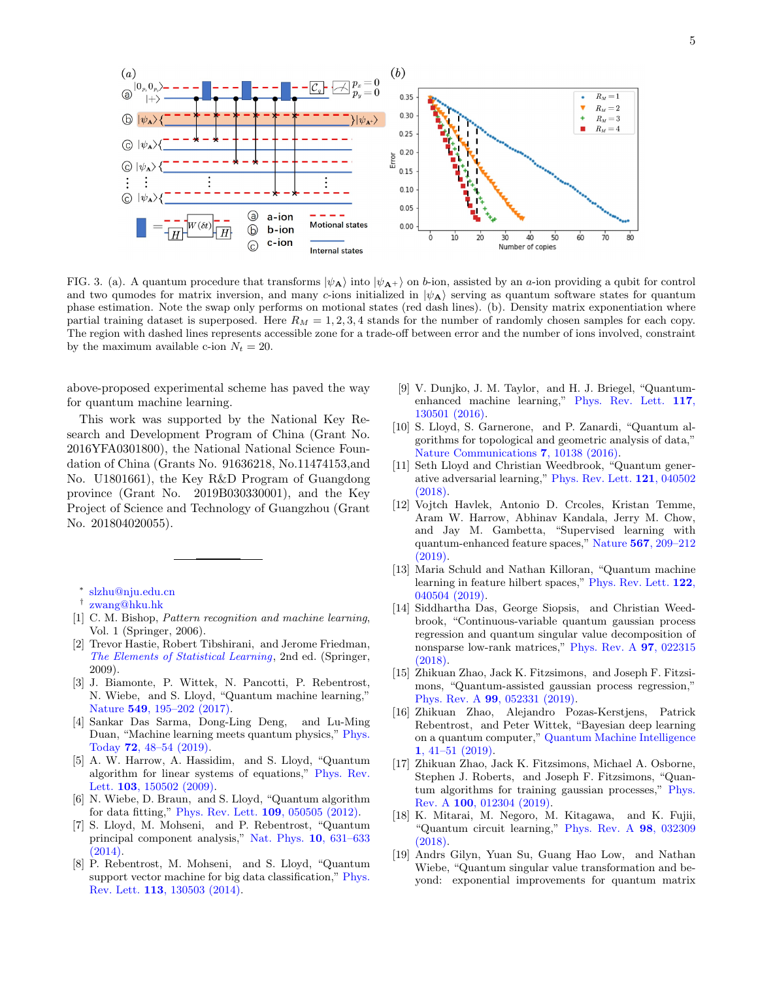

FIG. 3. (a). A quantum procedure that transforms  $|\psi_{A}\rangle$  into  $|\psi_{A+}\rangle$  on b-ion, assisted by an a-ion providing a qubit for control and two qumodes for matrix inversion, and many c-ions initialized in  $|\psi_{\mathbf{A}}\rangle$  serving as quantum software states for quantum phase estimation. Note the swap only performs on motional states (red dash lines). (b). Density matrix exponentiation where partial training dataset is superposed. Here  $R_M = 1, 2, 3, 4$  stands for the number of randomly chosen samples for each copy. The region with dashed lines represents accessible zone for a trade-off between error and the number of ions involved, constraint by the maximum available c-ion  $N_t = 20$ .

above-proposed experimental scheme has paved the way for quantum machine learning.

This work was supported by the National Key Research and Development Program of China (Grant No. 2016YFA0301800), the National National Science Foundation of China (Grants No. 91636218, No.11474153,and No. U1801661), the Key R&D Program of Guangdong province (Grant No. 2019B030330001), and the Key Project of Science and Technology of Guangzhou (Grant No. 201804020055).

- <span id="page-4-2"></span>[1] C. M. Bishop, Pattern recognition and machine learning, Vol. 1 (Springer, 2006).
- <span id="page-4-3"></span>[2] Trevor Hastie, Robert Tibshirani, and Jerome Friedman, [The Elements of Statistical Learning](https://www.springer.com/us/book/9780387848570), 2nd ed. (Springer, 2009).
- <span id="page-4-4"></span>[3] J. Biamonte, P. Wittek, N. Pancotti, P. Rebentrost, N. Wiebe, and S. Lloyd, "Quantum machine learning," Nature 549[, 195–202 \(2017\).](http://dx.doi.org/ 10.1038/nature23474)
- [4] Sankar Das Sarma, Dong-Ling Deng, and Lu-Ming Duan, "Machine learning meets quantum physics," [Phys.](http://dx.doi.org/10.1063/PT.3.4164) Today 72[, 48–54 \(2019\).](http://dx.doi.org/10.1063/PT.3.4164)
- <span id="page-4-10"></span>[5] A. W. Harrow, A. Hassidim, and S. Lloyd, "Quantum algorithm for linear systems of equations," [Phys. Rev.](http://dx.doi.org/10.1103/PhysRevLett.103.150502) Lett. **103**[, 150502 \(2009\).](http://dx.doi.org/10.1103/PhysRevLett.103.150502)
- [6] N. Wiebe, D. Braun, and S. Lloyd, "Quantum algorithm for data fitting," [Phys. Rev. Lett.](http://dx.doi.org/10.1103/PhysRevLett.109.050505)  $109$ , 050505 (2012).
- <span id="page-4-11"></span>[7] S. Lloyd, M. Mohseni, and P. Rebentrost, "Quantum principal component analysis," [Nat. Phys.](http://dx.doi.org/10.1038/Nphys3029) 10, 631–633  $(2014)$ .
- [8] P. Rebentrost, M. Mohseni, and S. Lloyd, "Quantum support vector machine for big data classification," [Phys.](http://dx.doi.org/ 10.1103/PhysRevLett.113.130503) Rev. Lett. 113[, 130503 \(2014\).](http://dx.doi.org/ 10.1103/PhysRevLett.113.130503)
- [9] V. Dunjko, J. M. Taylor, and H. J. Briegel, "Quantumenhanced machine learning," [Phys. Rev. Lett.](http://dx.doi.org/10.1103/PhysRevLett.117.130501) 117, [130501 \(2016\).](http://dx.doi.org/10.1103/PhysRevLett.117.130501)
- [10] S. Lloyd, S. Garnerone, and P. Zanardi, "Quantum algorithms for topological and geometric analysis of data," [Nature Communications](http://dx.doi.org/ARTN 10138 10.1038/ncomms10138) 7, 10138 (2016).
- [11] Seth Lloyd and Christian Weedbrook, "Quantum generative adversarial learning," [Phys. Rev. Lett.](http://dx.doi.org/ 10.1103/PhysRevLett.121.040502) 121, 040502 [\(2018\).](http://dx.doi.org/ 10.1103/PhysRevLett.121.040502)
- <span id="page-4-8"></span>[12] Vojtch Havlek, Antonio D. Crcoles, Kristan Temme, Aram W. Harrow, Abhinav Kandala, Jerry M. Chow, and Jay M. Gambetta, "Supervised learning with quantum-enhanced feature spaces," Nature 567[, 209–212](http://dx.doi.org/10.1038/s41586-019-0980-2) [\(2019\).](http://dx.doi.org/10.1038/s41586-019-0980-2)
- <span id="page-4-5"></span>[13] Maria Schuld and Nathan Killoran, "Quantum machine learning in feature hilbert spaces," [Phys. Rev. Lett.](http://dx.doi.org/ 10.1103/PhysRevLett.122.040504) 122. [040504 \(2019\).](http://dx.doi.org/ 10.1103/PhysRevLett.122.040504)
- <span id="page-4-6"></span>[14] Siddhartha Das, George Siopsis, and Christian Weedbrook, "Continuous-variable quantum gaussian process regression and quantum singular value decomposition of nonsparse low-rank matrices," [Phys. Rev. A](http://dx.doi.org/ 10.1103/PhysRevA.97.022315) 97, 022315 [\(2018\).](http://dx.doi.org/ 10.1103/PhysRevA.97.022315)
- [15] Zhikuan Zhao, Jack K. Fitzsimons, and Joseph F. Fitzsimons, "Quantum-assisted gaussian process regression," Phys. Rev. A 99[, 052331 \(2019\).](http://dx.doi.org/ 10.1103/PhysRevA.99.052331)
- [16] Zhikuan Zhao, Alejandro Pozas-Kerstjens, Patrick Rebentrost, and Peter Wittek, "Bayesian deep learning on a quantum computer," [Quantum Machine Intelligence](http://dx.doi.org/ 10.1007/s42484-019-00004-7) 1[, 41–51 \(2019\).](http://dx.doi.org/ 10.1007/s42484-019-00004-7)
- <span id="page-4-7"></span>[17] Zhikuan Zhao, Jack K. Fitzsimons, Michael A. Osborne, Stephen J. Roberts, and Joseph F. Fitzsimons, "Quantum algorithms for training gaussian processes," [Phys.](http://dx.doi.org/ 10.1103/PhysRevA.100.012304) Rev. A 100[, 012304 \(2019\).](http://dx.doi.org/ 10.1103/PhysRevA.100.012304)
- <span id="page-4-9"></span>[18] K. Mitarai, M. Negoro, M. Kitagawa, and K. Fujii, "Quantum circuit learning," [Phys. Rev. A](http://dx.doi.org/10.1103/PhysRevA.98.032309) 98, 032309 [\(2018\).](http://dx.doi.org/10.1103/PhysRevA.98.032309)
- <span id="page-4-12"></span>[19] Andrs Gilyn, Yuan Su, Guang Hao Low, and Nathan Wiebe, "Quantum singular value transformation and beyond: exponential improvements for quantum matrix

<span id="page-4-0"></span><sup>∗</sup> [slzhu@nju.edu.cn](mailto:slzhu@nju.edu.cn)

<span id="page-4-1"></span><sup>†</sup> [zwang@hku.hk](mailto:zwang@hku.hk)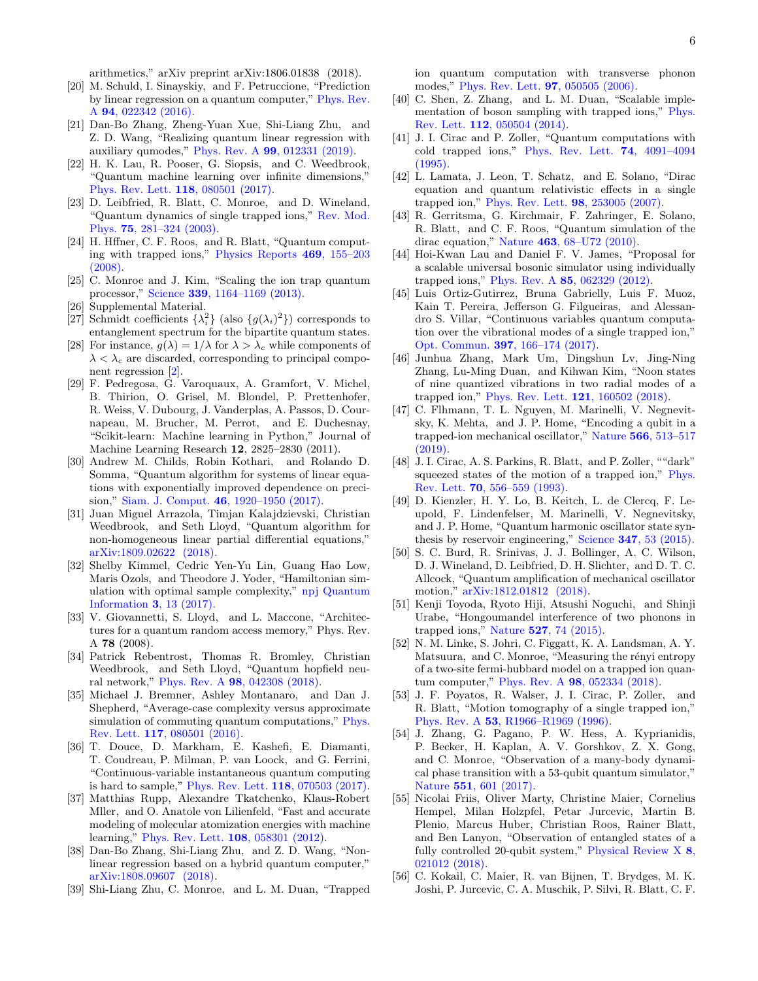arithmetics," arXiv preprint arXiv:1806.01838 (2018).

- <span id="page-5-0"></span>[20] M. Schuld, I. Sinayskiy, and F. Petruccione, "Prediction by linear regression on a quantum computer," [Phys. Rev.](http://dx.doi.org/ARTN 022342 10.1103/PhysRevA.94.022342) A 94[, 022342 \(2016\).](http://dx.doi.org/ARTN 022342 10.1103/PhysRevA.94.022342)
- <span id="page-5-1"></span>[21] Dan-Bo Zhang, Zheng-Yuan Xue, Shi-Liang Zhu, and Z. D. Wang, "Realizing quantum linear regression with auxiliary qumodes," Phys. Rev. A 99[, 012331 \(2019\).](http://dx.doi.org/10.1103/PhysRevA.99.012331)
- <span id="page-5-2"></span>[22] H. K. Lau, R. Pooser, G. Siopsis, and C. Weedbrook, "Quantum machine learning over infinite dimensions," [Phys. Rev. Lett.](http://dx.doi.org/10.1103/PhysRevLett.118.080501) 118, 080501 (2017).
- <span id="page-5-3"></span>[23] D. Leibfried, R. Blatt, C. Monroe, and D. Wineland, "Quantum dynamics of single trapped ions," [Rev. Mod.](http://dx.doi.org/10.1103/RevModPhys.75.281) Phys. 75[, 281–324 \(2003\).](http://dx.doi.org/10.1103/RevModPhys.75.281)
- [24] H. Hffner, C. F. Roos, and R. Blatt, "Quantum computing with trapped ions," [Physics Reports](http://dx.doi.org/ https://doi.org/10.1016/j.physrep.2008.09.003) 469, 155–203 [\(2008\).](http://dx.doi.org/ https://doi.org/10.1016/j.physrep.2008.09.003)
- <span id="page-5-4"></span>[25] C. Monroe and J. Kim, "Scaling the ion trap quantum processor," Science 339[, 1164–1169 \(2013\).](http://dx.doi.org/10.1126/science.1231298)
- <span id="page-5-5"></span>[26] Supplemental Material.
- <span id="page-5-6"></span>[27] Schmidt coefficients  $\{\lambda_i^2\}$  (also  $\{g(\lambda_i)^2\}$ ) corresponds to entanglement spectrum for the bipartite quantum states.
- <span id="page-5-7"></span>[28] For instance,  $g(\lambda) = 1/\lambda$  for  $\lambda > \lambda_c$  while components of  $\lambda < \lambda_c$  are discarded, corresponding to principal component regression [\[2\]](#page-4-3).
- <span id="page-5-8"></span>[29] F. Pedregosa, G. Varoquaux, A. Gramfort, V. Michel, B. Thirion, O. Grisel, M. Blondel, P. Prettenhofer, R. Weiss, V. Dubourg, J. Vanderplas, A. Passos, D. Cournapeau, M. Brucher, M. Perrot, and E. Duchesnay, "Scikit-learn: Machine learning in Python," Journal of Machine Learning Research 12, 2825–2830 (2011).
- <span id="page-5-9"></span>[30] Andrew M. Childs, Robin Kothari, and Rolando D. Somma, "Quantum algorithm for systems of linear equations with exponentially improved dependence on precision," Siam. J. Comput. 46[, 1920–1950 \(2017\).](http://dx.doi.org/10.1137/16m1087072)
- <span id="page-5-10"></span>[31] Juan Miguel Arrazola, Timjan Kalajdzievski, Christian Weedbrook, and Seth Lloyd, "Quantum algorithm for non-homogeneous linear partial differential equations," [arXiv:1809.02622 \(2018\).](http://arXiv.org/abs/1809.02622)
- <span id="page-5-11"></span>[32] Shelby Kimmel, Cedric Yen-Yu Lin, Guang Hao Low, Maris Ozols, and Theodore J. Yoder, "Hamiltonian simulation with optimal sample complexity," [npj Quantum](http://dx.doi.org/10.1038/s41534-017-0013-7) [Information](http://dx.doi.org/10.1038/s41534-017-0013-7) 3, 13 (2017).
- <span id="page-5-12"></span>[33] V. Giovannetti, S. Lloyd, and L. Maccone, "Architectures for a quantum random access memory," Phys. Rev. A 78 (2008).
- <span id="page-5-13"></span>[34] Patrick Rebentrost, Thomas R. Bromley, Christian Weedbrook, and Seth Lloyd, "Quantum hopfield neural network," Phys. Rev. A 98[, 042308 \(2018\).](http://dx.doi.org/10.1103/PhysRevA.98.042308)
- <span id="page-5-14"></span>[35] Michael J. Bremner, Ashley Montanaro, and Dan J. Shepherd, "Average-case complexity versus approximate simulation of commuting quantum computations," [Phys.](http://dx.doi.org/10.1103/PhysRevLett.117.080501) Rev. Lett. 117[, 080501 \(2016\).](http://dx.doi.org/10.1103/PhysRevLett.117.080501)
- <span id="page-5-15"></span>[36] T. Douce, D. Markham, E. Kashefi, E. Diamanti, T. Coudreau, P. Milman, P. van Loock, and G. Ferrini, "Continuous-variable instantaneous quantum computing is hard to sample," [Phys. Rev. Lett.](http://dx.doi.org/10.1103/PhysRevLett.118.070503) 118, 070503 (2017).
- <span id="page-5-16"></span>[37] Matthias Rupp, Alexandre Tkatchenko, Klaus-Robert Mller, and O. Anatole von Lilienfeld, "Fast and accurate modeling of molecular atomization energies with machine learning," [Phys. Rev. Lett.](http://dx.doi.org/ 10.1103/PhysRevLett.108.058301) 108, 058301 (2012).
- <span id="page-5-17"></span>[38] Dan-Bo Zhang, Shi-Liang Zhu, and Z. D. Wang, "Nonlinear regression based on a hybrid quantum computer," [arXiv:1808.09607 \(2018\).](http://arXiv.org/abs/1808.09607)
- <span id="page-5-18"></span>[39] Shi-Liang Zhu, C. Monroe, and L. M. Duan, "Trapped

ion quantum computation with transverse phonon modes," [Phys. Rev. Lett.](http://dx.doi.org/ 10.1103/PhysRevLett.97.050505) 97, 050505 (2006).

- <span id="page-5-19"></span>[40] C. Shen, Z. Zhang, and L. M. Duan, "Scalable implementation of boson sampling with trapped ions," [Phys.](http://dx.doi.org/ 10.1103/PhysRevLett.112.050504) Rev. Lett. 112[, 050504 \(2014\).](http://dx.doi.org/ 10.1103/PhysRevLett.112.050504)
- <span id="page-5-26"></span>[41] J. I. Cirac and P. Zoller, "Quantum computations with cold trapped ions," [Phys. Rev. Lett.](http://dx.doi.org/10.1103/PhysRevLett.74.4091) 74, 4091–4094 [\(1995\).](http://dx.doi.org/10.1103/PhysRevLett.74.4091)
- <span id="page-5-24"></span>[42] L. Lamata, J. Leon, T. Schatz, and E. Solano, "Dirac equation and quantum relativistic effects in a single trapped ion," [Phys. Rev. Lett.](http://dx.doi.org/10.1103/PhysRevLett.98.253005) 98, 253005 (2007).
- <span id="page-5-25"></span>[43] R. Gerritsma, G. Kirchmair, F. Zahringer, E. Solano, R. Blatt, and C. F. Roos, "Quantum simulation of the dirac equation," Nature 463[, 68–U72 \(2010\).](http://dx.doi.org/10.1038/nature08688)
- <span id="page-5-21"></span>[44] Hoi-Kwan Lau and Daniel F. V. James, "Proposal for a scalable universal bosonic simulator using individually trapped ions," Phys. Rev. A 85[, 062329 \(2012\).](http://dx.doi.org/10.1103/PhysRevA.85.062329)
- [45] Luis Ortiz-Gutirrez, Bruna Gabrielly, Luis F. Muoz, Kain T. Pereira, Jefferson G. Filgueiras, and Alessandro S. Villar, "Continuous variables quantum computation over the vibrational modes of a single trapped ion," Opt. Commun. 397[, 166–174 \(2017\).](http://dx.doi.org/ https://doi.org/10.1016/j.optcom.2017.04.011)
- [46] Junhua Zhang, Mark Um, Dingshun Lv, Jing-Ning Zhang, Lu-Ming Duan, and Kihwan Kim, "Noon states of nine quantized vibrations in two radial modes of a trapped ion," [Phys. Rev. Lett.](http://dx.doi.org/10.1103/PhysRevLett.121.160502) 121, 160502 (2018).
- <span id="page-5-20"></span>[47] C. Flhmann, T. L. Nguyen, M. Marinelli, V. Negnevitsky, K. Mehta, and J. P. Home, "Encoding a qubit in a trapped-ion mechanical oscillator," Nature 566[, 513–517](http://dx.doi.org/10.1038/s41586-019-0960-6)  $(2019)$ .
- <span id="page-5-22"></span>[48] J. I. Cirac, A. S. Parkins, R. Blatt, and P. Zoller, ""dark" squeezed states of the motion of a trapped ion," [Phys.](http://dx.doi.org/10.1103/PhysRevLett.70.556) Rev. Lett. 70[, 556–559 \(1993\).](http://dx.doi.org/10.1103/PhysRevLett.70.556)
- [49] D. Kienzler, H. Y. Lo, B. Keitch, L. de Clercq, F. Leupold, F. Lindenfelser, M. Marinelli, V. Negnevitsky, and J. P. Home, "Quantum harmonic oscillator state synthesis by reservoir engineering," Science 347[, 53 \(2015\).](http://dx.doi.org/10.1126/science.1261033)
- <span id="page-5-23"></span>[50] S. C. Burd, R. Srinivas, J. J. Bollinger, A. C. Wilson, D. J. Wineland, D. Leibfried, D. H. Slichter, and D. T. C. Allcock, "Quantum amplification of mechanical oscillator motion," [arXiv:1812.01812 \(2018\).](http://arXiv.org/abs/1812.01812)
- <span id="page-5-27"></span>[51] Kenji Toyoda, Ryoto Hiji, Atsushi Noguchi, and Shinji Urabe, "Hongoumandel interference of two phonons in trapped ions," Nature 527[, 74 \(2015\).](http://dx.doi.org/10.1038/nature15735)
- <span id="page-5-28"></span>[52] N. M. Linke, S. Johri, C. Figgatt, K. A. Landsman, A. Y. Matsuura, and C. Monroe, "Measuring the rényi entropy of a two-site fermi-hubbard model on a trapped ion quantum computer," Phys. Rev. A 98[, 052334 \(2018\).](http://dx.doi.org/ 10.1103/PhysRevA.98.052334)
- <span id="page-5-29"></span>[53] J. F. Poyatos, R. Walser, J. I. Cirac, P. Zoller, and R. Blatt, "Motion tomography of a single trapped ion," Phys. Rev. A 53[, R1966–R1969 \(1996\).](http://dx.doi.org/10.1103/PhysRevA.53.R1966)
- <span id="page-5-30"></span>[54] J. Zhang, G. Pagano, P. W. Hess, A. Kyprianidis, P. Becker, H. Kaplan, A. V. Gorshkov, Z. X. Gong, and C. Monroe, "Observation of a many-body dynamical phase transition with a 53-qubit quantum simulator," Nature 551[, 601 \(2017\).](http://dx.doi.org/10.1038/nature24654)
- [55] Nicolai Friis, Oliver Marty, Christine Maier, Cornelius Hempel, Milan Holzpfel, Petar Jurcevic, Martin B. Plenio, Marcus Huber, Christian Roos, Rainer Blatt, and Ben Lanyon, "Observation of entangled states of a fully controlled 20-qubit system," [Physical Review X](http://dx.doi.org/10.1103/PhysRevX.8.021012) 8, [021012 \(2018\).](http://dx.doi.org/10.1103/PhysRevX.8.021012)
- [56] C. Kokail, C. Maier, R. van Bijnen, T. Brydges, M. K. Joshi, P. Jurcevic, C. A. Muschik, P. Silvi, R. Blatt, C. F.